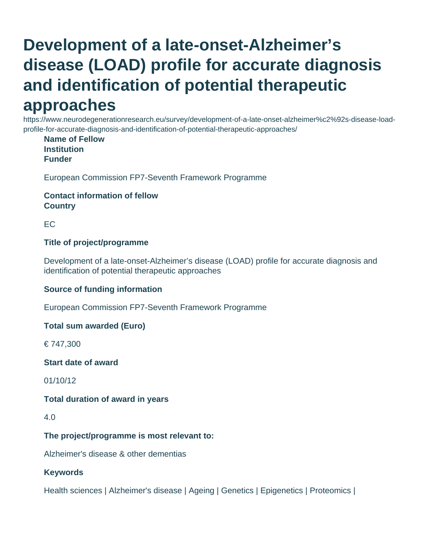# **Development of a late-onset-Alzheimer's disease (LOAD) profile for accurate diagnosis and identification of potential therapeutic**

## **approaches**

https://www.neurodegenerationresearch.eu/survey/development-of-a-late-onset-alzheimer%c2%92s-disease-loadprofile-for-accurate-diagnosis-and-identification-of-potential-therapeutic-approaches/

**Name of Fellow Institution Funder**

European Commission FP7-Seventh Framework Programme

#### **Contact information of fellow Country**

EC

#### **Title of project/programme**

Development of a late-onset-Alzheimer's disease (LOAD) profile for accurate diagnosis and identification of potential therapeutic approaches

#### **Source of funding information**

European Commission FP7-Seventh Framework Programme

#### **Total sum awarded (Euro)**

€ 747,300

#### **Start date of award**

01/10/12

#### **Total duration of award in years**

4.0

#### **The project/programme is most relevant to:**

Alzheimer's disease & other dementias

#### **Keywords**

Health sciences | Alzheimer's disease | Ageing | Genetics | Epigenetics | Proteomics |